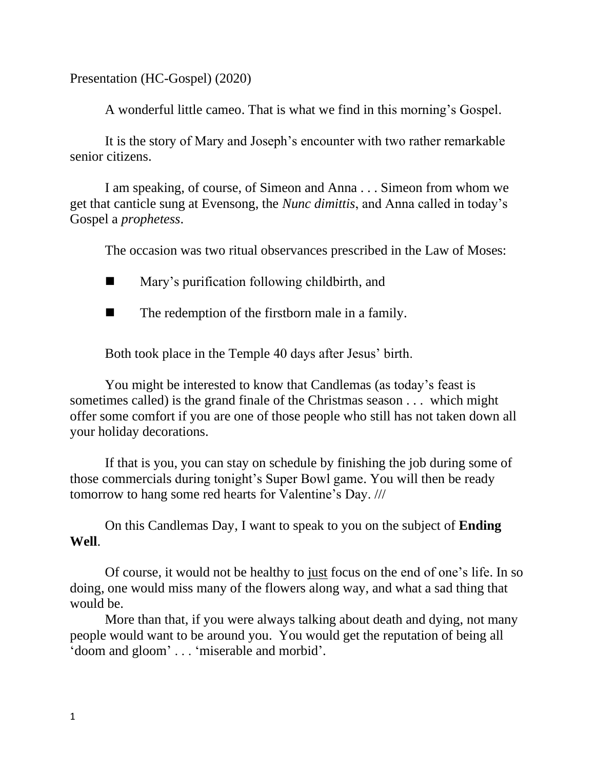Presentation (HC-Gospel) (2020)

A wonderful little cameo. That is what we find in this morning's Gospel.

It is the story of Mary and Joseph's encounter with two rather remarkable senior citizens.

I am speaking, of course, of Simeon and Anna . . . Simeon from whom we get that canticle sung at Evensong, the *Nunc dimittis*, and Anna called in today's Gospel a *prophetess*.

The occasion was two ritual observances prescribed in the Law of Moses:

- Mary's purification following childbirth, and
- $\blacksquare$  The redemption of the firstborn male in a family.

Both took place in the Temple 40 days after Jesus' birth.

You might be interested to know that Candlemas (as today's feast is sometimes called) is the grand finale of the Christmas season . . . which might offer some comfort if you are one of those people who still has not taken down all your holiday decorations.

If that is you, you can stay on schedule by finishing the job during some of those commercials during tonight's Super Bowl game. You will then be ready tomorrow to hang some red hearts for Valentine's Day. ///

On this Candlemas Day, I want to speak to you on the subject of **Ending Well**.

Of course, it would not be healthy to just focus on the end of one's life. In so doing, one would miss many of the flowers along way, and what a sad thing that would be.

More than that, if you were always talking about death and dying, not many people would want to be around you. You would get the reputation of being all 'doom and gloom' . . . 'miserable and morbid'.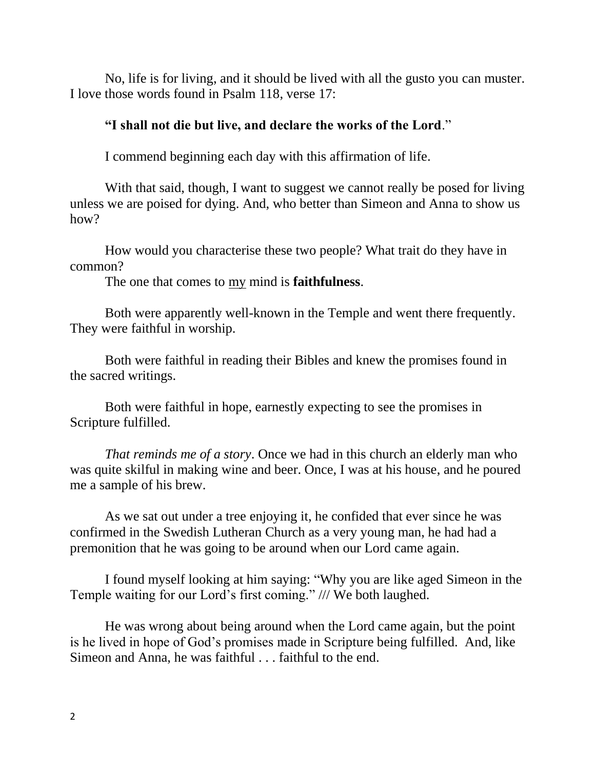No, life is for living, and it should be lived with all the gusto you can muster. I love those words found in Psalm 118, verse 17:

## **"I shall not die but live, and declare the works of the Lord**."

I commend beginning each day with this affirmation of life.

With that said, though, I want to suggest we cannot really be posed for living unless we are poised for dying. And, who better than Simeon and Anna to show us how?

How would you characterise these two people? What trait do they have in common?

The one that comes to my mind is **faithfulness**.

Both were apparently well-known in the Temple and went there frequently. They were faithful in worship.

Both were faithful in reading their Bibles and knew the promises found in the sacred writings.

Both were faithful in hope, earnestly expecting to see the promises in Scripture fulfilled.

*That reminds me of a story*. Once we had in this church an elderly man who was quite skilful in making wine and beer. Once, I was at his house, and he poured me a sample of his brew.

As we sat out under a tree enjoying it, he confided that ever since he was confirmed in the Swedish Lutheran Church as a very young man, he had had a premonition that he was going to be around when our Lord came again.

I found myself looking at him saying: "Why you are like aged Simeon in the Temple waiting for our Lord's first coming." /// We both laughed.

He was wrong about being around when the Lord came again, but the point is he lived in hope of God's promises made in Scripture being fulfilled. And, like Simeon and Anna, he was faithful . . . faithful to the end.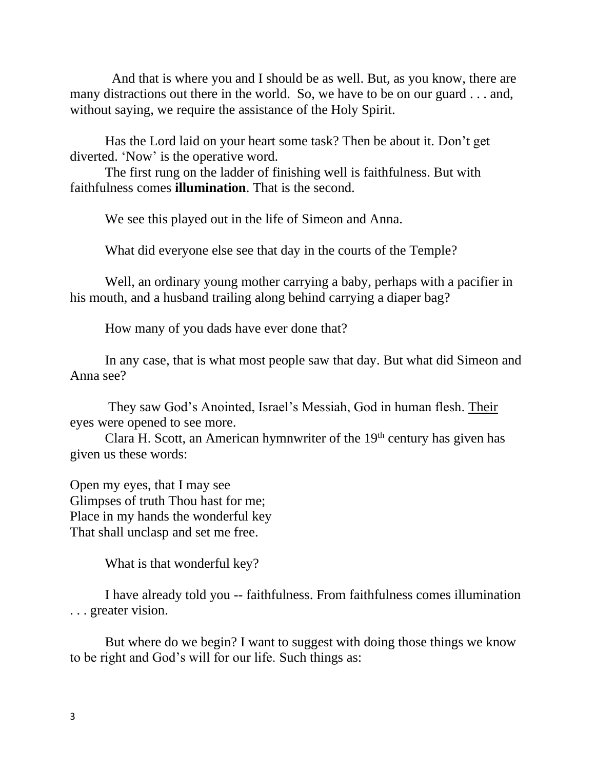And that is where you and I should be as well. But, as you know, there are many distractions out there in the world. So, we have to be on our guard . . . and, without saying, we require the assistance of the Holy Spirit.

Has the Lord laid on your heart some task? Then be about it. Don't get diverted. 'Now' is the operative word.

The first rung on the ladder of finishing well is faithfulness. But with faithfulness comes **illumination**. That is the second.

We see this played out in the life of Simeon and Anna.

What did everyone else see that day in the courts of the Temple?

Well, an ordinary young mother carrying a baby, perhaps with a pacifier in his mouth, and a husband trailing along behind carrying a diaper bag?

How many of you dads have ever done that?

In any case, that is what most people saw that day. But what did Simeon and Anna see?

They saw God's Anointed, Israel's Messiah, God in human flesh. Their eyes were opened to see more.

Clara H. Scott, an American hymnwriter of the  $19<sup>th</sup>$  century has given has given us these words:

Open my eyes, that I may see Glimpses of truth Thou hast for me; Place in my hands the wonderful key That shall unclasp and set me free.

What is that wonderful key?

I have already told you -- faithfulness. From faithfulness comes illumination . . . greater vision.

But where do we begin? I want to suggest with doing those things we know to be right and God's will for our life. Such things as: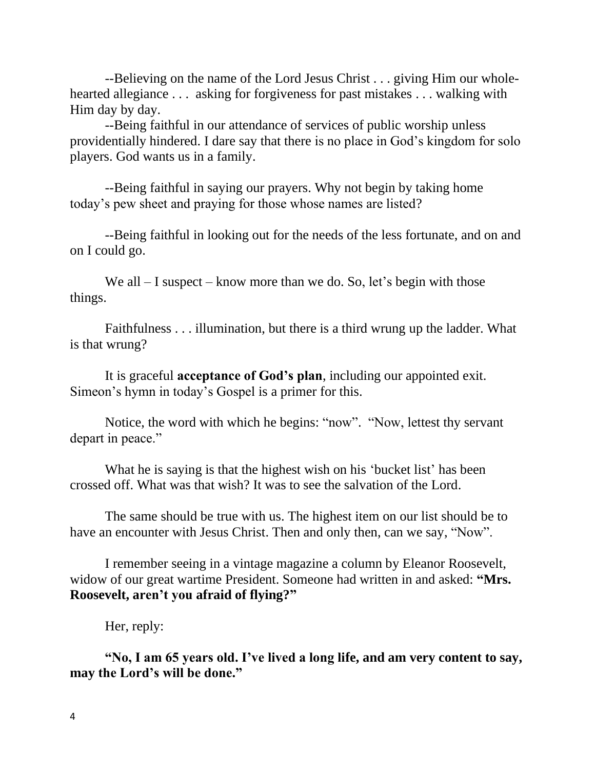--Believing on the name of the Lord Jesus Christ . . . giving Him our wholehearted allegiance . . . asking for forgiveness for past mistakes . . . walking with Him day by day.

--Being faithful in our attendance of services of public worship unless providentially hindered. I dare say that there is no place in God's kingdom for solo players. God wants us in a family.

--Being faithful in saying our prayers. Why not begin by taking home today's pew sheet and praying for those whose names are listed?

--Being faithful in looking out for the needs of the less fortunate, and on and on I could go.

We all  $-$  I suspect  $-$  know more than we do. So, let's begin with those things.

Faithfulness . . . illumination, but there is a third wrung up the ladder. What is that wrung?

It is graceful **acceptance of God's plan**, including our appointed exit. Simeon's hymn in today's Gospel is a primer for this.

Notice, the word with which he begins: "now". "Now, lettest thy servant depart in peace."

What he is saying is that the highest wish on his 'bucket list' has been crossed off. What was that wish? It was to see the salvation of the Lord.

The same should be true with us. The highest item on our list should be to have an encounter with Jesus Christ. Then and only then, can we say, "Now".

I remember seeing in a vintage magazine a column by Eleanor Roosevelt, widow of our great wartime President. Someone had written in and asked: **"Mrs. Roosevelt, aren't you afraid of flying?"**

Her, reply:

**"No, I am 65 years old. I've lived a long life, and am very content to say, may the Lord's will be done."**